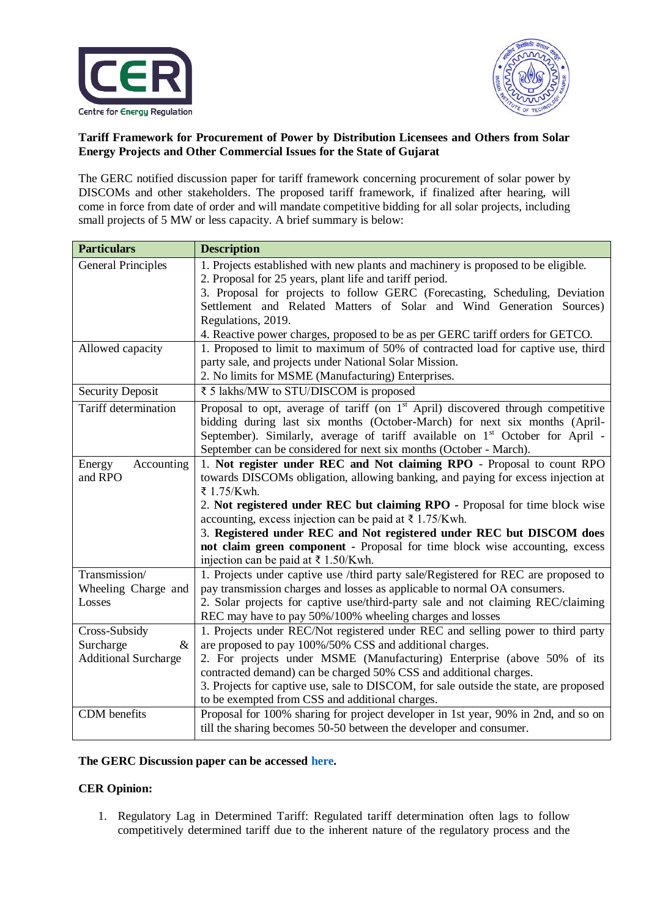



## **Tariff Framework for Procurement of Power by Distribution Licensees and Others from Solar Energy Projects and Other Commercial Issues for the State of Gujarat**

The GERC notified discussion paper for tariff framework concerning procurement of solar power by DISCOMs and other stakeholders. The proposed tariff framework, if finalized after hearing, will come in force from date of order and will mandate competitive bidding for all solar projects, including small projects of 5 MW or less capacity. A brief summary is below:

| <b>Particulars</b>          | <b>Description</b>                                                                                                                           |
|-----------------------------|----------------------------------------------------------------------------------------------------------------------------------------------|
| <b>General Principles</b>   | 1. Projects established with new plants and machinery is proposed to be eligible.                                                            |
|                             | 2. Proposal for 25 years, plant life and tariff period.                                                                                      |
|                             | 3. Proposal for projects to follow GERC (Forecasting, Scheduling, Deviation                                                                  |
|                             | Settlement and Related Matters of Solar and Wind Generation Sources)                                                                         |
|                             | Regulations, 2019.                                                                                                                           |
|                             | 4. Reactive power charges, proposed to be as per GERC tariff orders for GETCO.                                                               |
| Allowed capacity            | 1. Proposed to limit to maximum of 50% of contracted load for captive use, third                                                             |
|                             | party sale, and projects under National Solar Mission.                                                                                       |
|                             | 2. No limits for MSME (Manufacturing) Enterprises.                                                                                           |
| <b>Security Deposit</b>     | ₹ 5 lakhs/MW to STU/DISCOM is proposed                                                                                                       |
| Tariff determination        | Proposal to opt, average of tariff (on $1st$ April) discovered through competitive                                                           |
|                             | bidding during last six months (October-March) for next six months (April-                                                                   |
|                             | September). Similarly, average of tariff available on 1 <sup>st</sup> October for April -                                                    |
|                             | September can be considered for next six months (October - March).                                                                           |
| Accounting<br>Energy        | 1. Not register under REC and Not claiming RPO - Proposal to count RPO                                                                       |
| and RPO                     | towards DISCOMs obligation, allowing banking, and paying for excess injection at                                                             |
|                             | ₹ 1.75/Kwh.                                                                                                                                  |
|                             | 2. Not registered under REC but claiming RPO - Proposal for time block wise                                                                  |
|                             | accounting, excess injection can be paid at $\bar{\tau}$ 1.75/Kwh.                                                                           |
|                             | 3. Registered under REC and Not registered under REC but DISCOM does                                                                         |
|                             | not claim green component - Proposal for time block wise accounting, excess                                                                  |
| Transmission/               | injection can be paid at $\bar{\tau}$ 1.50/Kwh.                                                                                              |
|                             | 1. Projects under captive use /third party sale/Registered for REC are proposed to                                                           |
| Wheeling Charge and         | pay transmission charges and losses as applicable to normal OA consumers.                                                                    |
| Losses                      | 2. Solar projects for captive use/third-party sale and not claiming REC/claiming<br>REC may have to pay 50%/100% wheeling charges and losses |
| Cross-Subsidy               | 1. Projects under REC/Not registered under REC and selling power to third party                                                              |
| Surcharge<br>$\&$           | are proposed to pay 100%/50% CSS and additional charges.                                                                                     |
| <b>Additional Surcharge</b> | 2. For projects under MSME (Manufacturing) Enterprise (above 50% of its                                                                      |
|                             | contracted demand) can be charged 50% CSS and additional charges.                                                                            |
|                             | 3. Projects for captive use, sale to DISCOM, for sale outside the state, are proposed                                                        |
|                             | to be exempted from CSS and additional charges.                                                                                              |
| CDM benefits                | Proposal for 100% sharing for project developer in 1st year, 90% in 2nd, and so on                                                           |
|                             | till the sharing becomes 50-50 between the developer and consumer.                                                                           |

## **The GERC Discussion paper can be accessed [here.](http://demo.gercin.org/uploaded/document/574a9aaa-9597-4d73-846f-b9d832ebb28e.pdf)**

## **CER Opinion:**

1. Regulatory Lag in Determined Tariff: Regulated tariff determination often lags to follow competitively determined tariff due to the inherent nature of the regulatory process and the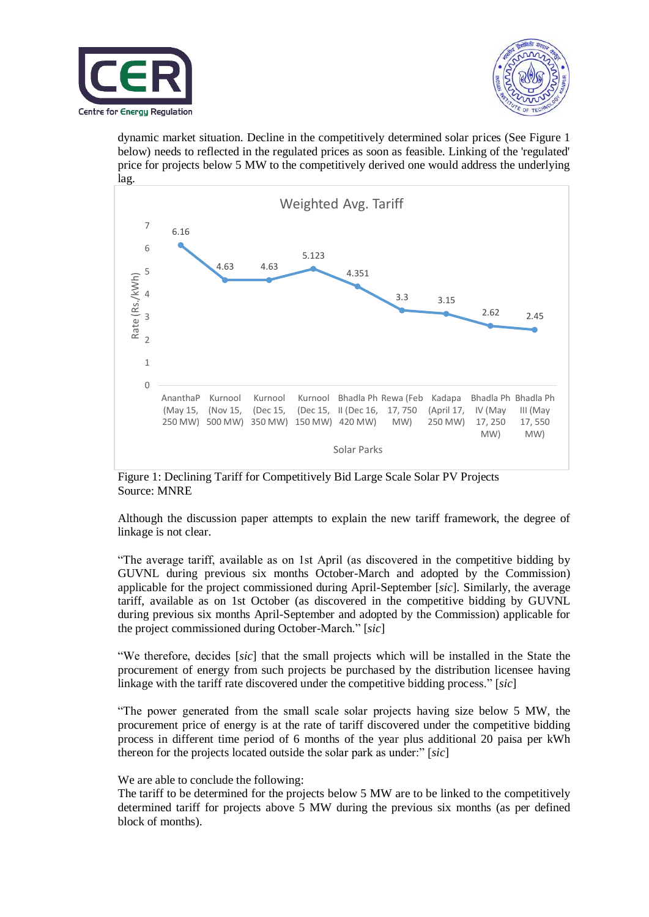



dynamic market situation. Decline in the competitively determined solar prices (See Figure 1 below) needs to reflected in the regulated prices as soon as feasible. Linking of the 'regulated' price for projects below 5 MW to the competitively derived one would address the underlying lag.



Figure 1: Declining Tariff for Competitively Bid Large Scale Solar PV Projects Source: MNRE

Although the discussion paper attempts to explain the new tariff framework, the degree of linkage is not clear.

"The average tariff, available as on 1st April (as discovered in the competitive bidding by GUVNL during previous six months October-March and adopted by the Commission) applicable for the project commissioned during April-September [*sic*]. Similarly, the average tariff, available as on 1st October (as discovered in the competitive bidding by GUVNL during previous six months April-September and adopted by the Commission) applicable for the project commissioned during October-March." [*sic*]

"We therefore, decides [*sic*] that the small projects which will be installed in the State the procurement of energy from such projects be purchased by the distribution licensee having linkage with the tariff rate discovered under the competitive bidding process." [*sic*]

"The power generated from the small scale solar projects having size below 5 MW, the procurement price of energy is at the rate of tariff discovered under the competitive bidding process in different time period of 6 months of the year plus additional 20 paisa per kWh thereon for the projects located outside the solar park as under:" [*sic*]

## We are able to conclude the following:

The tariff to be determined for the projects below 5 MW are to be linked to the competitively determined tariff for projects above 5 MW during the previous six months (as per defined block of months).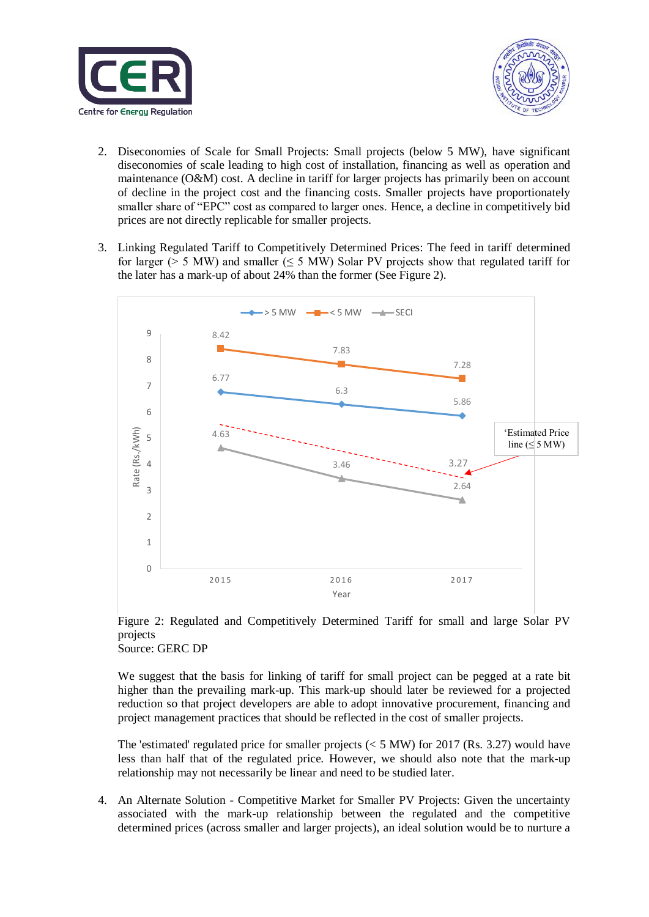



- 2. Diseconomies of Scale for Small Projects: Small projects (below 5 MW), have significant diseconomies of scale leading to high cost of installation, financing as well as operation and maintenance (O&M) cost. A decline in tariff for larger projects has primarily been on account of decline in the project cost and the financing costs. Smaller projects have proportionately smaller share of "EPC" cost as compared to larger ones. Hence, a decline in competitively bid prices are not directly replicable for smaller projects.
- 3. Linking Regulated Tariff to Competitively Determined Prices: The feed in tariff determined for larger ( $> 5$  MW) and smaller ( $\leq 5$  MW) Solar PV projects show that regulated tariff for the later has a mark-up of about 24% than the former (See Figure 2).



Figure 2: Regulated and Competitively Determined Tariff for small and large Solar PV projects Source: GERC DP

We suggest that the basis for linking of tariff for small project can be pegged at a rate bit higher than the prevailing mark-up. This mark-up should later be reviewed for a projected reduction so that project developers are able to adopt innovative procurement, financing and project management practices that should be reflected in the cost of smaller projects.

The 'estimated' regulated price for smaller projects ( $< 5$  MW) for 2017 (Rs. 3.27) would have less than half that of the regulated price. However, we should also note that the mark-up relationship may not necessarily be linear and need to be studied later.

4. An Alternate Solution - Competitive Market for Smaller PV Projects: Given the uncertainty associated with the mark-up relationship between the regulated and the competitive determined prices (across smaller and larger projects), an ideal solution would be to nurture a